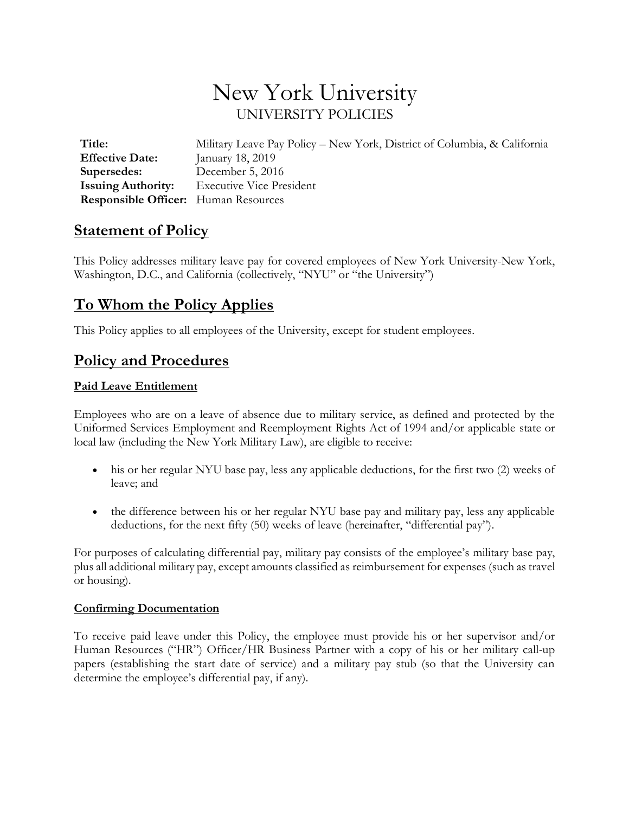# New York University UNIVERSITY POLICIES

**Title:** Military Leave Pay Policy – New York, District of Columbia, & California **Effective Date:** January 18, 2019 **Supersedes:** December 5, 2016 **Issuing Authority:** Executive Vice President **Responsible Officer:** Human Resources

### **Statement of Policy**

This Policy addresses military leave pay for covered employees of New York University-New York, Washington, D.C., and California (collectively, "NYU" or "the University")

## **To Whom the Policy Applies**

This Policy applies to all employees of the University, except for student employees.

### **Policy and Procedures**

#### **Paid Leave Entitlement**

Employees who are on a leave of absence due to military service, as defined and protected by the Uniformed Services Employment and Reemployment Rights Act of 1994 and/or applicable state or local law (including the New York Military Law), are eligible to receive:

- his or her regular NYU base pay, less any applicable deductions, for the first two (2) weeks of leave; and
- the difference between his or her regular NYU base pay and military pay, less any applicable deductions, for the next fifty (50) weeks of leave (hereinafter, "differential pay").

For purposes of calculating differential pay, military pay consists of the employee's military base pay, plus all additional military pay, except amounts classified as reimbursement for expenses (such as travel or housing).

#### **Confirming Documentation**

To receive paid leave under this Policy, the employee must provide his or her supervisor and/or Human Resources ("HR") Officer/HR Business Partner with a copy of his or her military call-up papers (establishing the start date of service) and a military pay stub (so that the University can determine the employee's differential pay, if any).